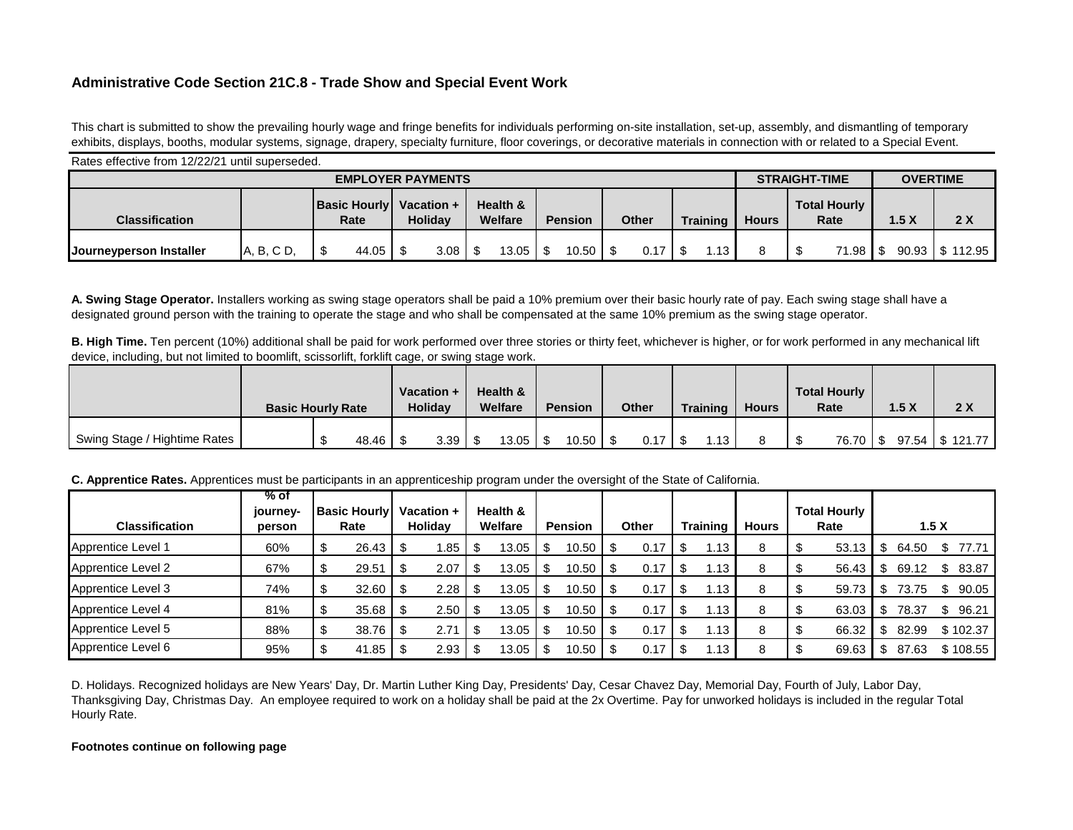## **Administrative Code Section 21C.8 - Trade Show and Special Event Work**

This chart is submitted to show the prevailing hourly wage and fringe benefits for individuals performing on-site installation, set-up, assembly, and dismantling of temporary exhibits, displays, booths, modular systems, signage, drapery, specialty furniture, floor coverings, or decorative materials in connection with or related to a Special Event.

| Rates effective from 12/22/21 until superseded. |            |                             |                              |                     |                |              |                 |                                             |       |       |          |  |  |  |
|-------------------------------------------------|------------|-----------------------------|------------------------------|---------------------|----------------|--------------|-----------------|---------------------------------------------|-------|-------|----------|--|--|--|
|                                                 |            | <b>STRAIGHT-TIME</b>        | <b>OVERTIME</b>              |                     |                |              |                 |                                             |       |       |          |  |  |  |
| <b>Classification</b>                           |            | <b>Basic Hourly</b><br>Rate | Vacation +<br><b>Holidav</b> | Health &<br>Welfare | <b>Pension</b> | <b>Other</b> | <b>Training</b> | <b>Total Hourly</b><br><b>Hours</b><br>Rate |       | .5 X  | 2X       |  |  |  |
| <b>Journeyperson Installer</b>                  | A, B, C D, | 44.05                       | 3.08                         | 13.05               | 10.50          | 0.17         | .13             |                                             | 71.98 | 90.93 | \$112.95 |  |  |  |

**A. Swing Stage Operator.** Installers working as swing stage operators shall be paid a 10% premium over their basic hourly rate of pay. Each swing stage shall have a designated ground person with the training to operate the stage and who shall be compensated at the same 10% premium as the swing stage operator.

**B. High Time.** Ten percent (10%) additional shall be paid for work performed over three stories or thirty feet, whichever is higher, or for work performed in any mechanical lift device, including, but not limited to boomlift, scissorlift, forklift cage, or swing stage work.

|                              | <b>Basic Hourly Rate</b> |  | Vacation +<br>Holiday |  | Health &<br>Welfare |  | <b>Pension</b> |  | <b>Other</b> |  | Training | <b>Hours</b> | <b>Total Hourly</b><br>Rate |          | 1.5X | 2X               |
|------------------------------|--------------------------|--|-----------------------|--|---------------------|--|----------------|--|--------------|--|----------|--------------|-----------------------------|----------|------|------------------|
| Swing Stage / Hightime Rates | 48.46                    |  | 3.39                  |  | 13.05               |  | 10.50          |  | 0.17         |  | 12       |              |                             | 76.70 \$ |      | 97.54   \$121.77 |

## **C. Apprentice Rates.** Apprentices must be participants in an apprenticeship program under the oversight of the State of California.

| <b>Classification</b>     | % of<br>journey-<br>person | <b>Basic Hourly</b><br>Rate | Vacation +<br>Holiday |      | Health &<br>Welfare |       | <b>Pension</b> |       | Other |      | <b>Training</b> |                  | <b>Hours</b> | <b>Total Hourly</b><br>Rate |       | 1.5X |       |              |
|---------------------------|----------------------------|-----------------------------|-----------------------|------|---------------------|-------|----------------|-------|-------|------|-----------------|------------------|--------------|-----------------------------|-------|------|-------|--------------|
| <b>Apprentice Level 1</b> | 60%                        | 26.43                       |                       | 1.85 | -\$                 | 13.05 |                | 10.50 | - \$  | 0.17 |                 | $\overline{.13}$ | 8            |                             | 53.13 | - \$ | 64.50 | 77.71        |
| Apprentice Level 2        | 67%                        | 29.51                       |                       | 2.07 |                     | 13.05 |                | 10.50 |       | 0.17 |                 | l.13             |              |                             | 56.43 |      | 69.12 | 83.87        |
| Apprentice Level 3        | 74%                        | 32.60                       |                       | 2.28 | \$                  | 13.05 |                | 10.50 |       | 0.17 |                 | 13               |              |                             | 59.73 |      | 73.75 | 90.05        |
| Apprentice Level 4        | 81%                        | 35.68                       |                       | 2.50 | \$                  | 13.05 |                | 10.50 | - \$  | 0.17 |                 | .13              |              |                             | 63.03 |      | 78.37 | 96.21<br>\$. |
| Apprentice Level 5        | 88%                        | 38.76                       |                       | 2.71 |                     | 13.05 |                | 10.50 |       | 0.17 |                 | i.13             |              |                             | 66.32 |      | 82.99 | \$102.37     |
| Apprentice Level 6        | 95%                        | 41.85                       |                       | 2.93 |                     | 13.05 |                | 10.50 |       | 0.17 |                 | 13، ،            |              |                             | 69.63 |      | 87.63 | \$108.55     |

D. Holidays. Recognized holidays are New Years' Day, Dr. Martin Luther King Day, Presidents' Day, Cesar Chavez Day, Memorial Day, Fourth of July, Labor Day, Thanksgiving Day, Christmas Day. An employee required to work on a holiday shall be paid at the 2x Overtime. Pay for unworked holidays is included in the regular Total Hourly Rate.

## **Footnotes continue on following page**